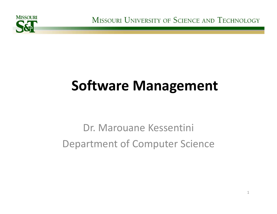

MISSOURI UNIVERSITY OF SCIENCE AND TECHNOLOGY

# **Software Management**

# Dr. Marouane Kessentini Department of Computer Science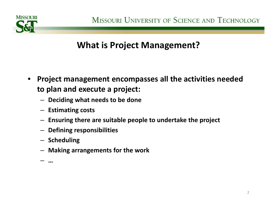

#### **What is Project Management?**

- $\bullet$  **Project management encompasses all the activities needed to plan and execute <sup>a</sup> project:**
	- **Deciding what needs to be done**
	- **Estimating costs**
	- **Ensuring there are suitable people to undertake the project**
	- **Defining responsibilities**
	- **Scheduling**
	- **Making arrangements for the work**
	- **…**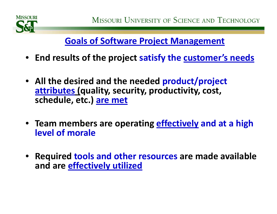

### **Goals of Software Project Management**

- **End results of the project satisfy the customer's needs**
- **All the desired and the needed product/project attributes (quality, security, productivity, cost, schedule, etc.) are met**
- **Team members are operating effectively and at <sup>a</sup> high level of morale**
- **Required tools and other resources are made available and are effectively utilized**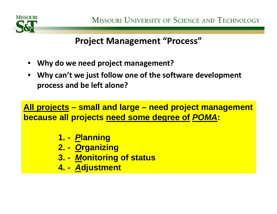

**Project Management "Process"**

- •**Why do we need project management?**
- **Why can't we just follow one of the software development process and be left alone?**

**All projects – small and large – need project management because all projects need some degree of** *POMA***:**

- **1. -** *P***lanning**
- **2. -** *O***rganizing**
- **3. -** *M***onitoring of status**
- **4. -** *A***djustment**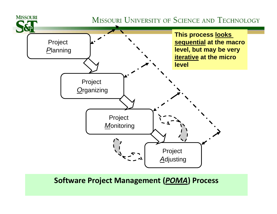

#### **Software Project Management (***POMA***) Process**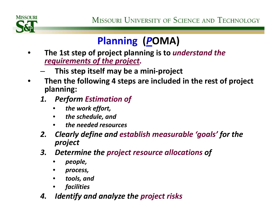

# **Planning (***P***OMA)**

- • **The 1st step of project planning is to** *understand the requirements of the project.*
	- **This step itself may be <sup>a</sup> mini‐project**
- • **Then the following 4 steps are included in the rest of project planning:**
	- *1. Perform Estimation of*
		- $\bullet$ *the work effort,*
		- •*the schedule, and*
		- •*the needed resources*
	- *2. Clearly define and establish measurable 'goals' for the project*
	- *3. Determine the project resource allocations of*
		- •*people,*
		- •*process,*
		- •*tools, and*
		- •*facilities*
	- *4. Identify and analyze the project risks*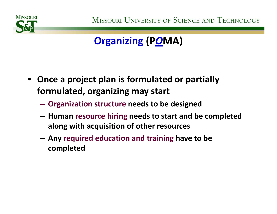

# **Organizing (P***O***MA)**

- **Once <sup>a</sup> project plan is formulated or partially formulated, organizing may start**
	- **Organization structure needs to be designed**
	- **Human resource hiring needs to start and be completed along with acquisition of other resources**
	- – **Any required education and training have to be completed**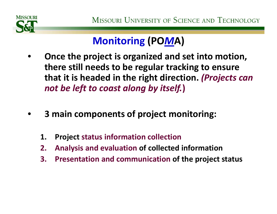

# **Monitoring (PO***M***A)**

- • **Once the project is organized and set into motion, there still needs to be regular tracking to ensure that it is headed in the right direction.** *(Projects can not be left to coast along by itself.***)**
- • **3 main components of project monitoring:**
	- **1. Project status information collection**
	- **2. Analysis and evaluation of collected information**
	- **3. Presentation and communication of the project status**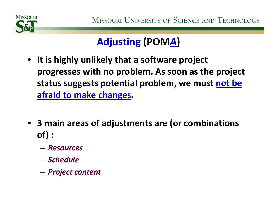

# **Adjusting (POM***A***)**

- **It is highly unlikely that <sup>a</sup> software project progresses with no problem. As soon as the project status suggests potential problem, we must not be afraid to make changes.**
- **3 main areas of adjustments are (or combinations of) :**
	- *Resources*
	- *Schedule*
	- *Project content*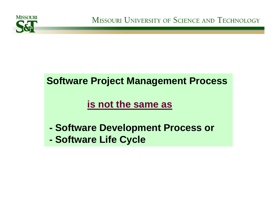

### **Software Project Management Process**

### **is not the same as**

- **Software Development Process or**
- **Software Life Cycle**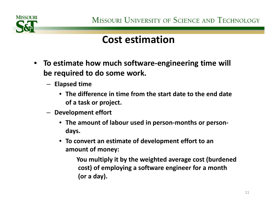

## **Cost estimation**

- **To estimate how much software‐engineering time will be required to do some work.**
	- **Elapsed time**
		- **The difference in time from the start date to the end date of a task or project.**
	- **Development effort**
		- **The amount of labour used in person‐months or person‐ days.**
		- **To convert an estimate of development effort to an amount of money:**

**You multiply it by the weighted average cost (burdened cost) of employing <sup>a</sup> software engineer for <sup>a</sup> month (or <sup>a</sup> day).**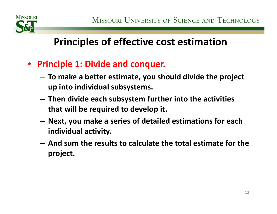

- $\bullet$  **Principle 1: Divide and conquer.**
	- – **To make <sup>a</sup> better estimate, you should divide the project up into individual subsystems.**
	- **Then divide each subsystem further into the activities that will be required to develop it.**
	- **Next, you make <sup>a</sup> series of detailed estimations for each individual activity.**
	- **And sum the results to calculate the total estimate for the project.**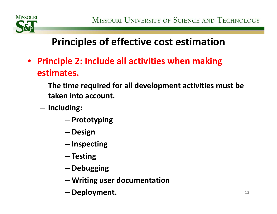

- $\bullet$  **Principle 2: Include all activities when making estimates.**
	- **The time required for all development activities must be taken into account.**
	- – **Including:**
		- –**Prototyping**
		- $-$  Design
		- **Inspecting**
		- **Testing**
		- **Debugging**
		- **Writing user documentation**
		- **Deployment.**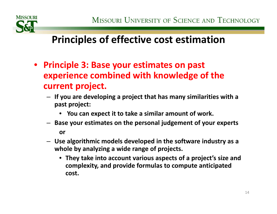

- $\bullet$  **Principle 3: Base your estimates on past experience combined with knowledge of the current project.**
	- **If you are developing <sup>a</sup> project that has many similarities with <sup>a</sup> past project:**
		- **You can expect it to take <sup>a</sup> similar amount of work.**
	- **Base your estimates on the personal judgement of your experts or**
	- **Use algorithmic models developed in the software industry as <sup>a</sup> whole by analyzing <sup>a</sup> wide range of projects.**
		- **They take into account various aspects of <sup>a</sup> project's size and complexity, and provide formulas to compute anticipated cost.**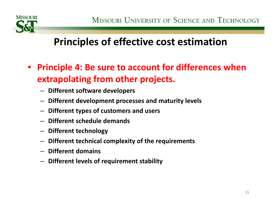

- $\bullet$  **Principle 4: Be sure to account for differences when extrapolating from other projects.**
	- **Different software developers**
	- **Different development processes and maturity levels**
	- **Different types of customers and users**
	- **Different schedule demands**
	- **Different technology**
	- **Different technical complexity of the requirements**
	- **Different domains**
	- **Different levels of requirement stability**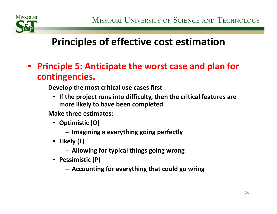

- $\bullet$  **Principle 5: Anticipate the worst case and plan for contingencies.**
	- **Develop the most critical use cases first**
		- **If the project runs into difficulty, then the critical features are more likely to have been completed**
	- **Make three estimates:**
		- **Optimistic (O)**
			- **Imagining <sup>a</sup> everything going perfectly**
		- **Likely (L)**
			- **Allowing for typical things going wrong**
		- **Pessimistic (P)**
			- **Accounting for everything that could go wring**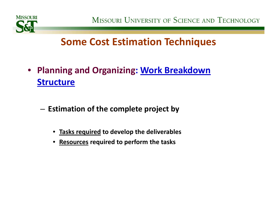

MISSOURI UNIVERSITY OF SCIENCE AND TECHNOLOGY

## **Some Cost Estimation Techniques**

- **Planning and Organizing: Work Breakdown Structure**
	- **Estimation of the complete project by**
		- $\bullet$ **Tasks required to develop the deliverables**
		- •**Resources required to perform the tasks**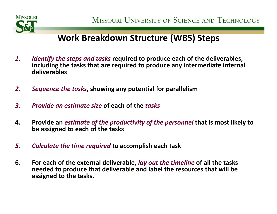

#### **Work Breakdown Structure (WBS) Steps**

- *1. Identify the steps and tasks* **required to produce each of the deliverables, including the tasks that are required to produce any intermediate internal deliverables**
- *2. Sequence the tasks***, showing any potential for parallelism**
- *3. Provide an estimate size* **of each of the** *tasks*
- **4. Provide an** *estimate of the productivity of the personnel* **that is most likely to be assigned to each of the tasks**
- *5. Calculate the time required* **to accomplish each task**
- **6. For each of the external deliverable,** *lay out the timeline* **of all the tasks needed to produce that deliverable and label the resources that will be assigned to the tasks.**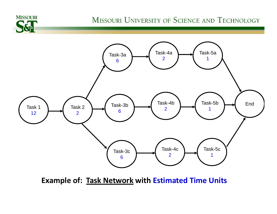#### MISSOURI UNIVERSITY OF SCIENCE AND TECHNOLOGY



**MISSOURI** 

**Example of: Task Network with Estimated Time Units**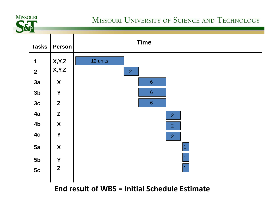

#### MISSOURI UNIVERSITY OF SCIENCE AND TECHNOLOGY



**End result of WBS <sup>=</sup> Initial Schedule Estimate**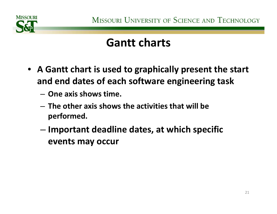

# **Gantt charts**

- **A Gantt chart is used to graphically present the start and end dates of each software engineering task**
	- **One axis shows time.**
	- **The other axis shows the activities that will be performed.**
	- – **Important deadline dates, at which specific events may occur**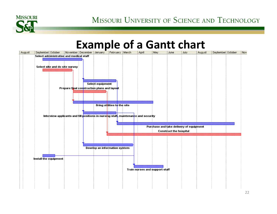

# **Example of a Gantt chart**

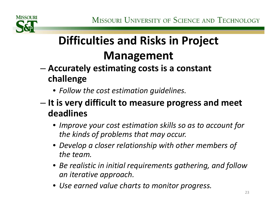# **Difficulties and Risks in Project Management**

- – **Accurately estimating costs is <sup>a</sup> constant challenge**
	- *Follow the cost estimation guidelines.*
- – **It is very difficult to measure progress and meet deadlines**
	- *Improve your cost estimation skills so as to account for the kinds of problems that may occur.*
	- *Develop <sup>a</sup> closer relationship with other members of the team.*
	- *Be realistic in initial requirements gathering, and follow an iterative approach.*
	- *Use earned value charts to monitor progress.*